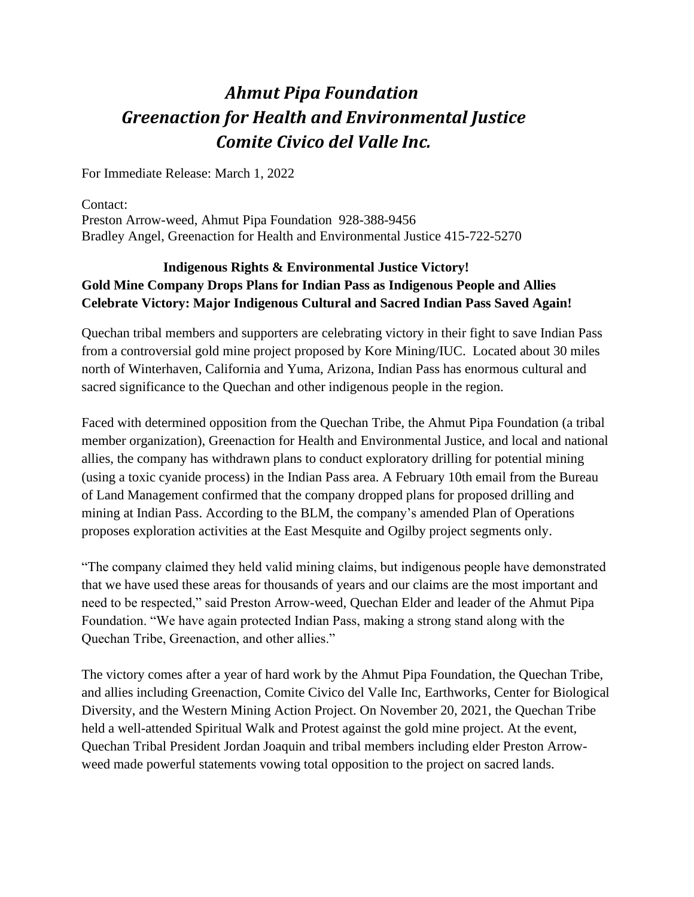## *Ahmut Pipa Foundation Greenaction for Health and Environmental Justice Comite Civico del Valle Inc.*

For Immediate Release: March 1, 2022

Contact: Preston Arrow-weed, Ahmut Pipa Foundation 928-388-9456 Bradley Angel, Greenaction for Health and Environmental Justice 415-722-5270

## **Indigenous Rights & Environmental Justice Victory! Gold Mine Company Drops Plans for Indian Pass as Indigenous People and Allies Celebrate Victory: Major Indigenous Cultural and Sacred Indian Pass Saved Again!**

Quechan tribal members and supporters are celebrating victory in their fight to save Indian Pass from a controversial gold mine project proposed by Kore Mining/IUC. Located about 30 miles north of Winterhaven, California and Yuma, Arizona, Indian Pass has enormous cultural and sacred significance to the Quechan and other indigenous people in the region.

Faced with determined opposition from the Quechan Tribe, the Ahmut Pipa Foundation (a tribal member organization), Greenaction for Health and Environmental Justice, and local and national allies, the company has withdrawn plans to conduct exploratory drilling for potential mining (using a toxic cyanide process) in the Indian Pass area. A February 10th email from the Bureau of Land Management confirmed that the company dropped plans for proposed drilling and mining at Indian Pass. According to the BLM, the company's amended Plan of Operations proposes exploration activities at the East Mesquite and Ogilby project segments only.

"The company claimed they held valid mining claims, but indigenous people have demonstrated that we have used these areas for thousands of years and our claims are the most important and need to be respected," said Preston Arrow-weed, Quechan Elder and leader of the Ahmut Pipa Foundation. "We have again protected Indian Pass, making a strong stand along with the Quechan Tribe, Greenaction, and other allies."

The victory comes after a year of hard work by the Ahmut Pipa Foundation, the Quechan Tribe, and allies including Greenaction, Comite Civico del Valle Inc, Earthworks, Center for Biological Diversity, and the Western Mining Action Project. On November 20, 2021, the Quechan Tribe held a well-attended Spiritual Walk and Protest against the gold mine project. At the event, Quechan Tribal President Jordan Joaquin and tribal members including elder Preston Arrowweed made powerful statements vowing total opposition to the project on sacred lands.